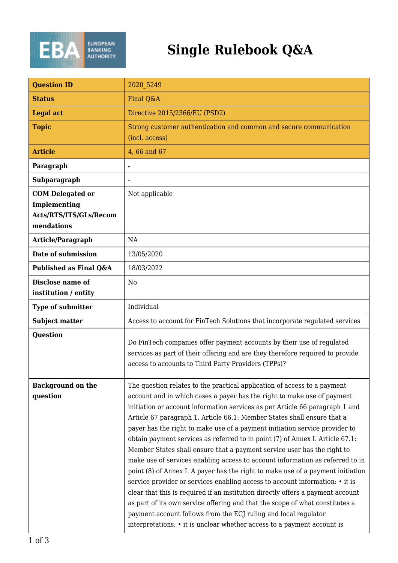

## **Single Rulebook Q&A**

| <b>Question ID</b>                                                              | 2020 5249                                                                                                                                                                                                                                                                                                                                                                                                                                                                                                                                                                                                                                                                                                                                                                                                                                                                                                                                                                                                                                                                                                                      |
|---------------------------------------------------------------------------------|--------------------------------------------------------------------------------------------------------------------------------------------------------------------------------------------------------------------------------------------------------------------------------------------------------------------------------------------------------------------------------------------------------------------------------------------------------------------------------------------------------------------------------------------------------------------------------------------------------------------------------------------------------------------------------------------------------------------------------------------------------------------------------------------------------------------------------------------------------------------------------------------------------------------------------------------------------------------------------------------------------------------------------------------------------------------------------------------------------------------------------|
| <b>Status</b>                                                                   | Final Q&A                                                                                                                                                                                                                                                                                                                                                                                                                                                                                                                                                                                                                                                                                                                                                                                                                                                                                                                                                                                                                                                                                                                      |
| <b>Legal act</b>                                                                | Directive 2015/2366/EU (PSD2)                                                                                                                                                                                                                                                                                                                                                                                                                                                                                                                                                                                                                                                                                                                                                                                                                                                                                                                                                                                                                                                                                                  |
| <b>Topic</b>                                                                    | Strong customer authentication and common and secure communication<br>(incl. access)                                                                                                                                                                                                                                                                                                                                                                                                                                                                                                                                                                                                                                                                                                                                                                                                                                                                                                                                                                                                                                           |
| <b>Article</b>                                                                  | 4,66 and 67                                                                                                                                                                                                                                                                                                                                                                                                                                                                                                                                                                                                                                                                                                                                                                                                                                                                                                                                                                                                                                                                                                                    |
| Paragraph                                                                       |                                                                                                                                                                                                                                                                                                                                                                                                                                                                                                                                                                                                                                                                                                                                                                                                                                                                                                                                                                                                                                                                                                                                |
| Subparagraph                                                                    |                                                                                                                                                                                                                                                                                                                                                                                                                                                                                                                                                                                                                                                                                                                                                                                                                                                                                                                                                                                                                                                                                                                                |
| <b>COM Delegated or</b><br>Implementing<br>Acts/RTS/ITS/GLs/Recom<br>mendations | Not applicable                                                                                                                                                                                                                                                                                                                                                                                                                                                                                                                                                                                                                                                                                                                                                                                                                                                                                                                                                                                                                                                                                                                 |
| Article/Paragraph                                                               | NA                                                                                                                                                                                                                                                                                                                                                                                                                                                                                                                                                                                                                                                                                                                                                                                                                                                                                                                                                                                                                                                                                                                             |
| Date of submission                                                              | 13/05/2020                                                                                                                                                                                                                                                                                                                                                                                                                                                                                                                                                                                                                                                                                                                                                                                                                                                                                                                                                                                                                                                                                                                     |
| Published as Final Q&A                                                          | 18/03/2022                                                                                                                                                                                                                                                                                                                                                                                                                                                                                                                                                                                                                                                                                                                                                                                                                                                                                                                                                                                                                                                                                                                     |
| <b>Disclose name of</b><br>institution / entity                                 | N <sub>0</sub>                                                                                                                                                                                                                                                                                                                                                                                                                                                                                                                                                                                                                                                                                                                                                                                                                                                                                                                                                                                                                                                                                                                 |
| <b>Type of submitter</b>                                                        | Individual                                                                                                                                                                                                                                                                                                                                                                                                                                                                                                                                                                                                                                                                                                                                                                                                                                                                                                                                                                                                                                                                                                                     |
| <b>Subject matter</b>                                                           | Access to account for FinTech Solutions that incorporate regulated services                                                                                                                                                                                                                                                                                                                                                                                                                                                                                                                                                                                                                                                                                                                                                                                                                                                                                                                                                                                                                                                    |
| <b>Question</b>                                                                 | Do FinTech companies offer payment accounts by their use of regulated<br>services as part of their offering and are they therefore required to provide<br>access to accounts to Third Party Providers (TPPs)?                                                                                                                                                                                                                                                                                                                                                                                                                                                                                                                                                                                                                                                                                                                                                                                                                                                                                                                  |
| <b>Background on the</b><br>question                                            | The question relates to the practical application of access to a payment<br>account and in which cases a payer has the right to make use of payment<br>initiation or account information services as per Article 66 paragraph 1 and<br>Article 67 paragraph 1. Article 66.1: Member States shall ensure that a<br>payer has the right to make use of a payment initiation service provider to<br>obtain payment services as referred to in point (7) of Annex I. Article 67.1:<br>Member States shall ensure that a payment service user has the right to<br>make use of services enabling access to account information as referred to in<br>point (8) of Annex I. A payer has the right to make use of a payment initiation<br>service provider or services enabling access to account information: • it is<br>clear that this is required if an institution directly offers a payment account<br>as part of its own service offering and that the scope of what constitutes a<br>payment account follows from the ECJ ruling and local regulator<br>interpretations; • it is unclear whether access to a payment account is |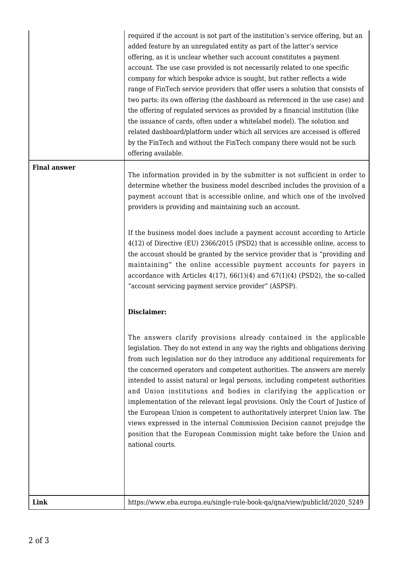| Link                | https://www.eba.europa.eu/single-rule-book-qa/qna/view/publicId/2020 5249                                                                                                                                                                                                                                                                                                                                                                                                                                                                                                                                                                                                                                                                                                                                                                                                                                                                                                           |
|---------------------|-------------------------------------------------------------------------------------------------------------------------------------------------------------------------------------------------------------------------------------------------------------------------------------------------------------------------------------------------------------------------------------------------------------------------------------------------------------------------------------------------------------------------------------------------------------------------------------------------------------------------------------------------------------------------------------------------------------------------------------------------------------------------------------------------------------------------------------------------------------------------------------------------------------------------------------------------------------------------------------|
|                     |                                                                                                                                                                                                                                                                                                                                                                                                                                                                                                                                                                                                                                                                                                                                                                                                                                                                                                                                                                                     |
|                     | accordance with Articles $4(17)$ , $66(1)(4)$ and $67(1)(4)$ (PSD2), the so-called<br>"account servicing payment service provider" (ASPSP).<br><b>Disclaimer:</b><br>The answers clarify provisions already contained in the applicable<br>legislation. They do not extend in any way the rights and obligations deriving<br>from such legislation nor do they introduce any additional requirements for<br>the concerned operators and competent authorities. The answers are merely<br>intended to assist natural or legal persons, including competent authorities<br>and Union institutions and bodies in clarifying the application or<br>implementation of the relevant legal provisions. Only the Court of Justice of<br>the European Union is competent to authoritatively interpret Union law. The<br>views expressed in the internal Commission Decision cannot prejudge the<br>position that the European Commission might take before the Union and<br>national courts. |
|                     | If the business model does include a payment account according to Article<br>4(12) of Directive (EU) 2366/2015 (PSD2) that is accessible online, access to<br>the account should be granted by the service provider that is "providing and<br>maintaining" the online accessible payment accounts for payers in                                                                                                                                                                                                                                                                                                                                                                                                                                                                                                                                                                                                                                                                     |
| <b>Final answer</b> | The information provided in by the submitter is not sufficient in order to<br>determine whether the business model described includes the provision of a<br>payment account that is accessible online, and which one of the involved<br>providers is providing and maintaining such an account.                                                                                                                                                                                                                                                                                                                                                                                                                                                                                                                                                                                                                                                                                     |
|                     | required if the account is not part of the institution's service offering, but an<br>added feature by an unregulated entity as part of the latter's service<br>offering, as it is unclear whether such account constitutes a payment<br>account. The use case provided is not necessarily related to one specific<br>company for which bespoke advice is sought, but rather reflects a wide<br>range of FinTech service providers that offer users a solution that consists of<br>two parts: its own offering (the dashboard as referenced in the use case) and<br>the offering of regulated services as provided by a financial institution (like<br>the issuance of cards, often under a whitelabel model). The solution and<br>related dashboard/platform under which all services are accessed is offered<br>by the FinTech and without the FinTech company there would not be such<br>offering available.                                                                      |